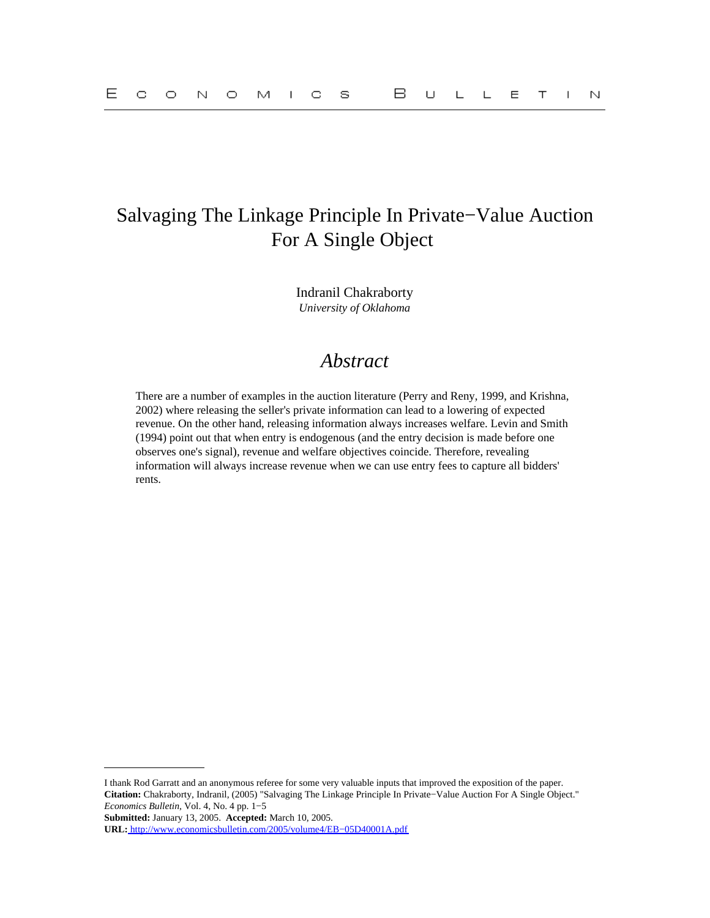# Salvaging The Linkage Principle In Private−Value Auction For A Single Object

Indranil Chakraborty *University of Oklahoma*

# *Abstract*

There are a number of examples in the auction literature (Perry and Reny, 1999, and Krishna, 2002) where releasing the seller's private information can lead to a lowering of expected revenue. On the other hand, releasing information always increases welfare. Levin and Smith (1994) point out that when entry is endogenous (and the entry decision is made before one observes one's signal), revenue and welfare objectives coincide. Therefore, revealing information will always increase revenue when we can use entry fees to capture all bidders' rents.

I thank Rod Garratt and an anonymous referee for some very valuable inputs that improved the exposition of the paper. **Citation:** Chakraborty, Indranil, (2005) "Salvaging The Linkage Principle In Private−Value Auction For A Single Object." *Economics Bulletin,* Vol. 4, No. 4 pp. 1−5

**Submitted:** January 13, 2005. **Accepted:** March 10, 2005.

**URL:** [http://www.economicsbulletin.com/2005/volume4/EB−05D40001A.pdf](http://www.economicsbulletin.com/2005/volume4/EB-05D40001A.pdf)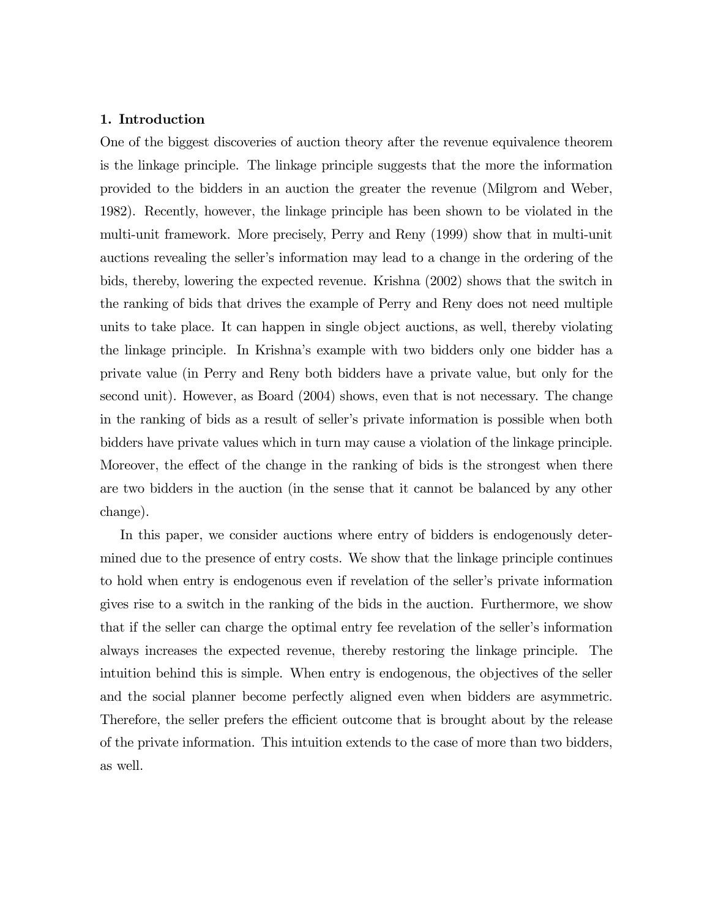# 1. Introduction

One of the biggest discoveries of auction theory after the revenue equivalence theorem is the linkage principle. The linkage principle suggests that the more the information provided to the bidders in an auction the greater the revenue (Milgrom and Weber, 1982). Recently, however, the linkage principle has been shown to be violated in the multi-unit framework. More precisely, Perry and Reny (1999) show that in multi-unit auctions revealing the seller's information may lead to a change in the ordering of the bids, thereby, lowering the expected revenue. Krishna (2002) shows that the switch in the ranking of bids that drives the example of Perry and Reny does not need multiple units to take place. It can happen in single object auctions, as well, thereby violating the linkage principle. In Krishna's example with two bidders only one bidder has a private value (in Perry and Reny both bidders have a private value, but only for the second unit). However, as Board (2004) shows, even that is not necessary. The change in the ranking of bids as a result of seller's private information is possible when both bidders have private values which in turn may cause a violation of the linkage principle. Moreover, the effect of the change in the ranking of bids is the strongest when there are two bidders in the auction (in the sense that it cannot be balanced by any other change).

In this paper, we consider auctions where entry of bidders is endogenously determined due to the presence of entry costs. We show that the linkage principle continues to hold when entry is endogenous even if revelation of the seller's private information gives rise to a switch in the ranking of the bids in the auction. Furthermore, we show that if the seller can charge the optimal entry fee revelation of the seller's information always increases the expected revenue, thereby restoring the linkage principle. The intuition behind this is simple. When entry is endogenous, the objectives of the seller and the social planner become perfectly aligned even when bidders are asymmetric. Therefore, the seller prefers the efficient outcome that is brought about by the release of the private information. This intuition extends to the case of more than two bidders, as well.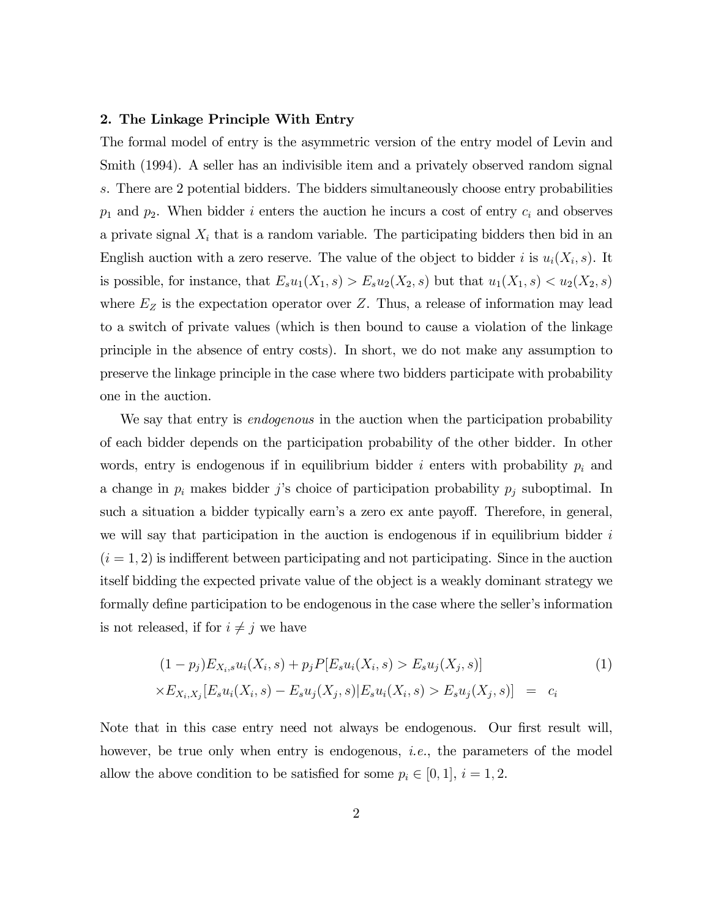#### 2. The Linkage Principle With Entry

The formal model of entry is the asymmetric version of the entry model of Levin and Smith (1994). A seller has an indivisible item and a privately observed random signal s. There are 2 potential bidders. The bidders simultaneously choose entry probabilities  $p_1$  and  $p_2$ . When bidder i enters the auction he incurs a cost of entry  $c_i$  and observes a private signal  $X_i$  that is a random variable. The participating bidders then bid in an English auction with a zero reserve. The value of the object to bidder i is  $u_i(X_i, s)$ . It is possible, for instance, that  $E_s u_1(X_1, s) > E_s u_2(X_2, s)$  but that  $u_1(X_1, s) < u_2(X_2, s)$ where  $E_Z$  is the expectation operator over Z. Thus, a release of information may lead to a switch of private values (which is then bound to cause a violation of the linkage principle in the absence of entry costs). In short, we do not make any assumption to preserve the linkage principle in the case where two bidders participate with probability one in the auction.

We say that entry is *endogenous* in the auction when the participation probability of each bidder depends on the participation probability of the other bidder. In other words, entry is endogenous if in equilibrium bidder i enters with probability  $p_i$  and a change in  $p_i$  makes bidder j's choice of participation probability  $p_j$  suboptimal. In such a situation a bidder typically earn's a zero ex ante payoff. Therefore, in general, we will say that participation in the auction is endogenous if in equilibrium bidder  $i$  $(i = 1, 2)$  is indifferent between participating and not participating. Since in the auction itself bidding the expected private value of the object is a weakly dominant strategy we formally define participation to be endogenous in the case where the seller's information is not released, if for  $i \neq j$  we have

$$
(1 - p_j)E_{X_i,s}u_i(X_i, s) + p_jP[E_su_i(X_i, s) > E_su_j(X_j, s)]
$$
  
 
$$
\times E_{X_i,X_j}[E_su_i(X_i, s) - E_su_j(X_j, s)|E_su_i(X_i, s) > E_su_j(X_j, s)] = c_i
$$
 (1)

Note that in this case entry need not always be endogenous. Our first result will, however, be true only when entry is endogenous, *i.e.*, the parameters of the model allow the above condition to be satisfied for some  $p_i \in [0, 1], i = 1, 2$ .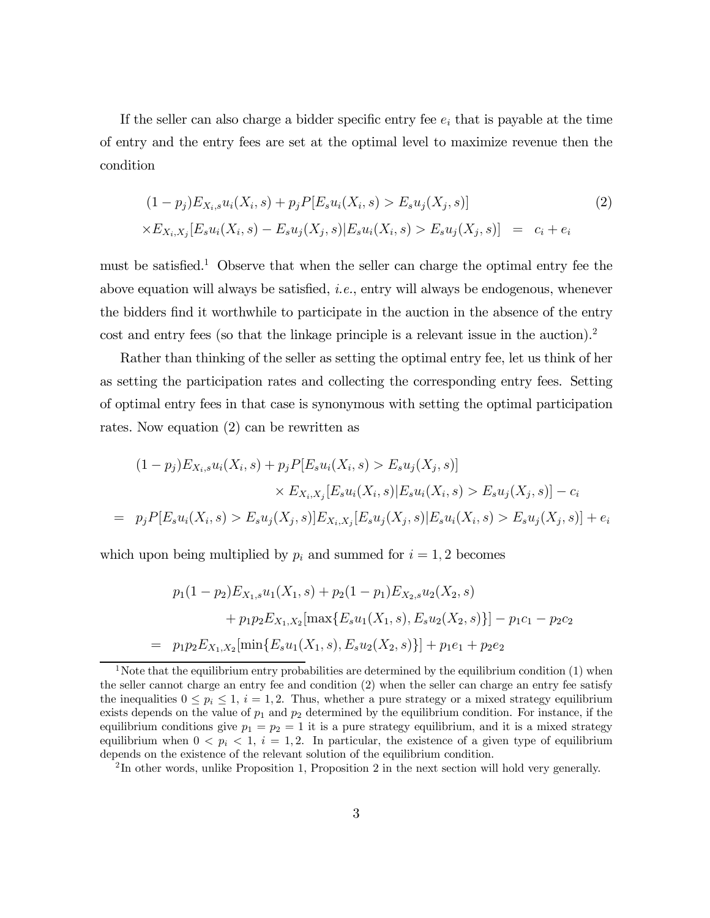If the seller can also charge a bidder specific entry fee  $e_i$  that is payable at the time of entry and the entry fees are set at the optimal level to maximize revenue then the condition

$$
(1 - p_j)E_{X_i,s}u_i(X_i, s) + p_jP[E_su_i(X_i, s) > E_su_j(X_j, s)]
$$
  
 
$$
\times E_{X_i,X_j}[E_su_i(X_i, s) - E_su_j(X_j, s)|E_su_i(X_i, s) > E_su_j(X_j, s)] = c_i + e_i
$$
 (2)

must be satisfied.<sup>1</sup> Observe that when the seller can charge the optimal entry fee the above equation will always be satisfied, *i.e.*, entry will always be endogenous, whenever the bidders find it worthwhile to participate in the auction in the absence of the entry cost and entry fees (so that the linkage principle is a relevant issue in the auction).2

Rather than thinking of the seller as setting the optimal entry fee, let us think of her as setting the participation rates and collecting the corresponding entry fees. Setting of optimal entry fees in that case is synonymous with setting the optimal participation rates. Now equation (2) can be rewritten as

$$
(1 - p_j)E_{X_i,s}u_i(X_i, s) + p_jP[E_su_i(X_i, s) > E_su_j(X_j, s)]
$$
  

$$
\times E_{X_i,X_j}[E_su_i(X_i, s)|E_su_i(X_i, s) > E_su_j(X_j, s)] - c_i
$$
  

$$
= p_jP[E_su_i(X_i, s) > E_su_j(X_j, s)]E_{X_i,X_j}[E_su_j(X_j, s)|E_su_i(X_i, s) > E_su_j(X_j, s)] + e_i
$$

which upon being multiplied by  $p_i$  and summed for  $i = 1, 2$  becomes

$$
p_1(1-p_2)E_{X_1,s}u_1(X_1,s) + p_2(1-p_1)E_{X_2,s}u_2(X_2,s)
$$
  
+  $p_1p_2E_{X_1,X_2}[\max\{E_su_1(X_1,s), E_su_2(X_2,s)\}] - p_1c_1 - p_2c_2$   
=  $p_1p_2E_{X_1,X_2}[\min\{E_su_1(X_1,s), E_su_2(X_2,s)\}] + p_1e_1 + p_2e_2$ 

<sup>&</sup>lt;sup>1</sup>Note that the equilibrium entry probabilities are determined by the equilibrium condition  $(1)$  when the seller cannot charge an entry fee and condition (2) when the seller can charge an entry fee satisfy the inequalities  $0 \leq p_i \leq 1$ ,  $i = 1, 2$ . Thus, whether a pure strategy or a mixed strategy equilibrium exists depends on the value of  $p_1$  and  $p_2$  determined by the equilibrium condition. For instance, if the equilibrium conditions give  $p_1 = p_2 = 1$  it is a pure strategy equilibrium, and it is a mixed strategy equilibrium when  $0 < p_i < 1$ ,  $i = 1, 2$ . In particular, the existence of a given type of equilibrium depends on the existence of the relevant solution of the equilibrium condition.

<sup>2</sup> In other words, unlike Proposition 1, Proposition 2 in the next section will hold very generally.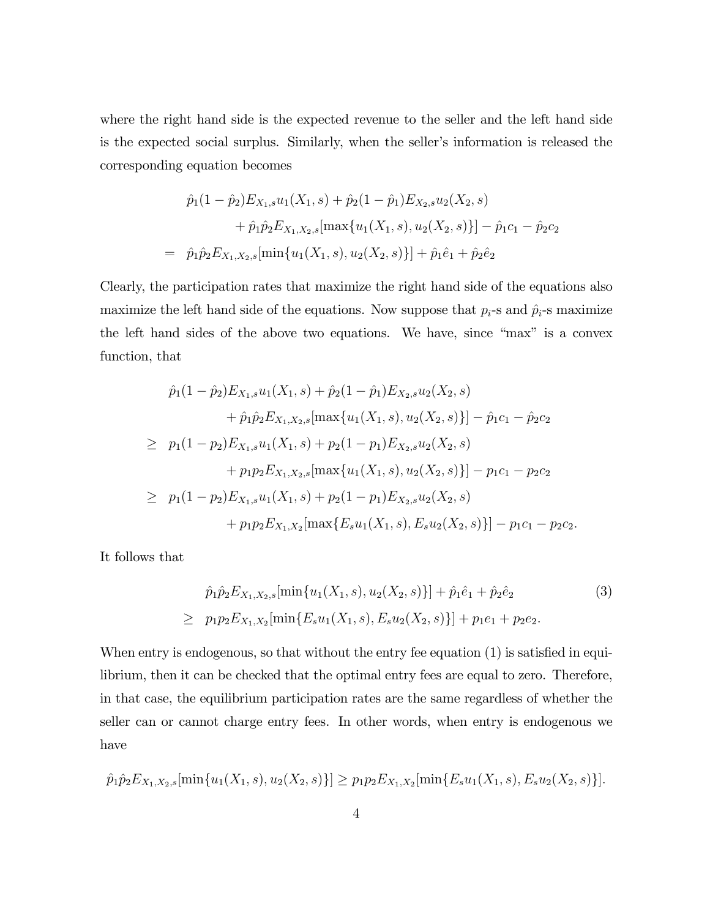where the right hand side is the expected revenue to the seller and the left hand side is the expected social surplus. Similarly, when the seller's information is released the corresponding equation becomes

$$
\hat{p}_1(1-\hat{p}_2)E_{X_1,s}u_1(X_1,s) + \hat{p}_2(1-\hat{p}_1)E_{X_2,s}u_2(X_2,s) \n+ \hat{p}_1\hat{p}_2E_{X_1,X_2,s}[\max\{u_1(X_1,s), u_2(X_2,s)\}] - \hat{p}_1c_1 - \hat{p}_2c_2 \n= \hat{p}_1\hat{p}_2E_{X_1,X_2,s}[\min\{u_1(X_1,s), u_2(X_2,s)\}] + \hat{p}_1\hat{e}_1 + \hat{p}_2\hat{e}_2
$$

Clearly, the participation rates that maximize the right hand side of the equations also maximize the left hand side of the equations. Now suppose that  $p_i$ -s and  $\hat{p}_i$ -s maximize the left hand sides of the above two equations. We have, since "max" is a convex function, that

$$
\hat{p}_1(1-\hat{p}_2)E_{X_1,s}u_1(X_1,s) + \hat{p}_2(1-\hat{p}_1)E_{X_2,s}u_2(X_2,s) \n+ \hat{p}_1\hat{p}_2E_{X_1,X_2,s}[\max\{u_1(X_1,s),u_2(X_2,s)\}] - \hat{p}_1c_1 - \hat{p}_2c_2 \n\geq p_1(1-p_2)E_{X_1,s}u_1(X_1,s) + p_2(1-p_1)E_{X_2,s}u_2(X_2,s) \n+ p_1p_2E_{X_1,X_2,s}[\max\{u_1(X_1,s),u_2(X_2,s)\}] - p_1c_1 - p_2c_2 \n\geq p_1(1-p_2)E_{X_1,s}u_1(X_1,s) + p_2(1-p_1)E_{X_2,s}u_2(X_2,s) \n+ p_1p_2E_{X_1,X_2}[\max\{E_su_1(X_1,s), E_su_2(X_2,s)\}] - p_1c_1 - p_2c_2.
$$

It follows that

$$
\hat{p}_1 \hat{p}_2 E_{X_1, X_2, s}[\min\{u_1(X_1, s), u_2(X_2, s)\}] + \hat{p}_1 \hat{e}_1 + \hat{p}_2 \hat{e}_2
$$
\n
$$
\geq p_1 p_2 E_{X_1, X_2}[\min\{E_s u_1(X_1, s), E_s u_2(X_2, s)\}] + p_1 e_1 + p_2 e_2.
$$
\n(3)

When entry is endogenous, so that without the entry fee equation (1) is satisfied in equilibrium, then it can be checked that the optimal entry fees are equal to zero. Therefore, in that case, the equilibrium participation rates are the same regardless of whether the seller can or cannot charge entry fees. In other words, when entry is endogenous we have

$$
\hat{p}_1 \hat{p}_2 E_{X_1, X_2, s}[\min\{u_1(X_1, s), u_2(X_2, s)\}] \ge p_1 p_2 E_{X_1, X_2}[\min\{E_s u_1(X_1, s), E_s u_2(X_2, s)\}].
$$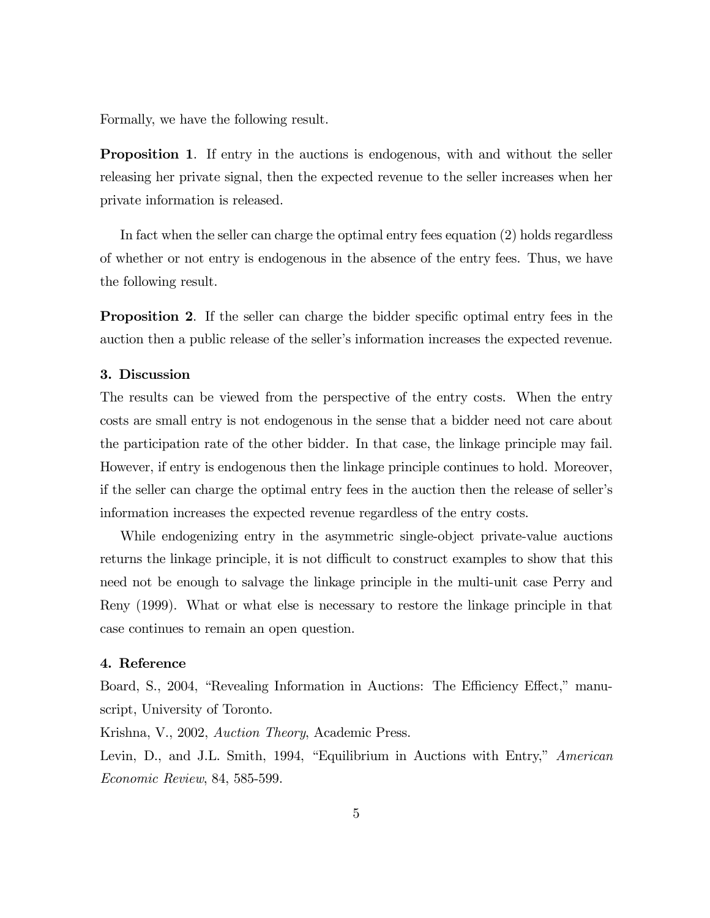Formally, we have the following result.

Proposition 1. If entry in the auctions is endogenous, with and without the seller releasing her private signal, then the expected revenue to the seller increases when her private information is released.

In fact when the seller can charge the optimal entry fees equation (2) holds regardless of whether or not entry is endogenous in the absence of the entry fees. Thus, we have the following result.

Proposition 2. If the seller can charge the bidder specific optimal entry fees in the auction then a public release of the seller's information increases the expected revenue.

## 3. Discussion

The results can be viewed from the perspective of the entry costs. When the entry costs are small entry is not endogenous in the sense that a bidder need not care about the participation rate of the other bidder. In that case, the linkage principle may fail. However, if entry is endogenous then the linkage principle continues to hold. Moreover, if the seller can charge the optimal entry fees in the auction then the release of seller's information increases the expected revenue regardless of the entry costs.

While endogenizing entry in the asymmetric single-object private-value auctions returns the linkage principle, it is not difficult to construct examples to show that this need not be enough to salvage the linkage principle in the multi-unit case Perry and Reny (1999). What or what else is necessary to restore the linkage principle in that case continues to remain an open question.

### 4. Reference

Board, S., 2004, "Revealing Information in Auctions: The Efficiency Effect," manuscript, University of Toronto.

Krishna, V., 2002, Auction Theory, Academic Press.

Levin, D., and J.L. Smith, 1994, "Equilibrium in Auctions with Entry," American Economic Review, 84, 585-599.